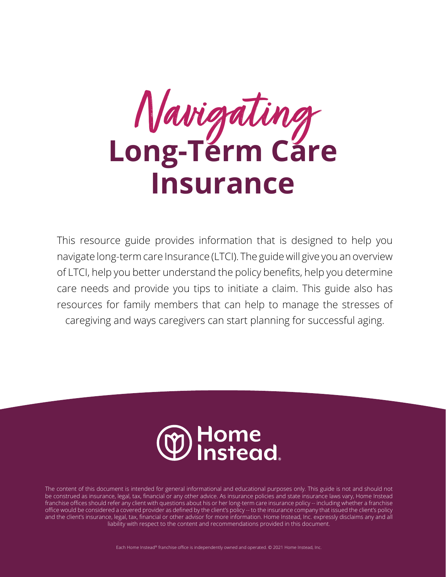**Long-Term Care Insurance**  Navigating

This resource guide provides information that is designed to help you navigate long-term care Insurance (LTCI). The guide will give you an overview of LTCI, help you better understand the policy benefits, help you determine care needs and provide you tips to initiate a claim. This guide also has resources for family members that can help to manage the stresses of caregiving and ways caregivers can start planning for successful aging.



The content of this document is intended for general informational and educational purposes only. This guide is not and should not be construed as insurance, legal, tax, financial or any other advice. As insurance policies and state insurance laws vary, Home Instead franchise offices should refer any client with questions about his or her long-term care insurance policy -- including whether a franchise office would be considered a covered provider as defined by the client's policy -- to the insurance company that issued the client's policy and the client's insurance, legal, tax, financial or other advisor for more information. Home Instead, Inc. expressly disclaims any and all liability with respect to the content and recommendations provided in this document.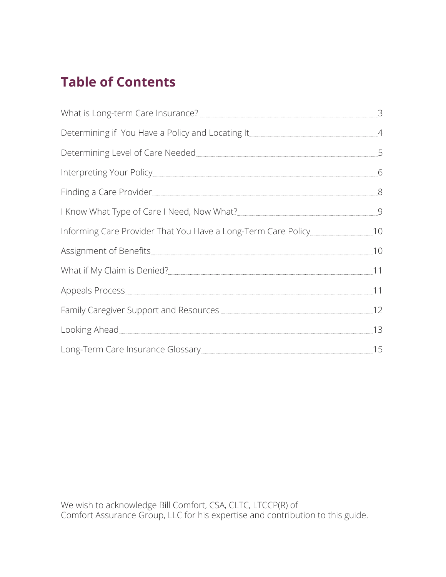# **Table of Contents**

| Determining Level of Care Needed                                                                                                                                                                                               |    |
|--------------------------------------------------------------------------------------------------------------------------------------------------------------------------------------------------------------------------------|----|
|                                                                                                                                                                                                                                |    |
| Finding a Care Provider 8                                                                                                                                                                                                      |    |
|                                                                                                                                                                                                                                |    |
|                                                                                                                                                                                                                                |    |
|                                                                                                                                                                                                                                | 10 |
|                                                                                                                                                                                                                                |    |
|                                                                                                                                                                                                                                |    |
| Family Caregiver Support and Resources <b>Manual Community Caregiver</b> Support and Resources                                                                                                                                 | 12 |
|                                                                                                                                                                                                                                | 13 |
| Long-Term Care Insurance Glossary [15] [16] All Manuscription of the USA of the Manuscription of the Manuscription of the Manuscription of the Manuscription of the Manuscription of the Manuscription of the Manuscription of |    |

We wish to acknowledge Bill Comfort, CSA, CLTC, LTCCP(R) of Comfort Assurance Group, LLC for his expertise and contribution to this guide.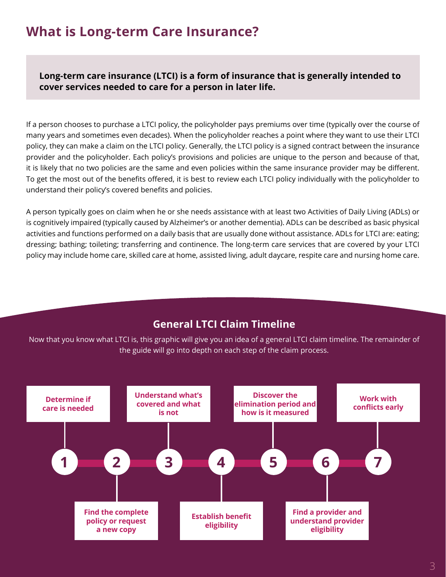## **What is Long-term Care Insurance?**

**Long-term care insurance (LTCI) is a form of insurance that is generally intended to cover services needed to care for a person in later life.** 

If a person chooses to purchase a LTCI policy, the policyholder pays premiums over time (typically over the course of many years and sometimes even decades). When the policyholder reaches a point where they want to use their LTCI policy, they can make a claim on the LTCI policy. Generally, the LTCI policy is a signed contract between the insurance provider and the policyholder. Each policy's provisions and policies are unique to the person and because of that, it is likely that no two policies are the same and even policies within the same insurance provider may be different. To get the most out of the benefits offered, it is best to review each LTCI policy individually with the policyholder to understand their policy's covered benefits and policies.

A person typically goes on claim when he or she needs assistance with at least two Activities of Daily Living (ADLs) or is cognitively impaired (typically caused by Alzheimer's or another dementia). ADLs can be described as basic physical activities and functions performed on a daily basis that are usually done without assistance. ADLs for LTCI are: eating; dressing; bathing; toileting; transferring and continence. The long-term care services that are covered by your LTCI policy may include home care, skilled care at home, assisted living, adult daycare, respite care and nursing home care.

## **General LTCI Claim Timeline**

Now that you know what LTCI is, this graphic will give you an idea of a general LTCI claim timeline. The remainder of the guide will go into depth on each step of the claim process.

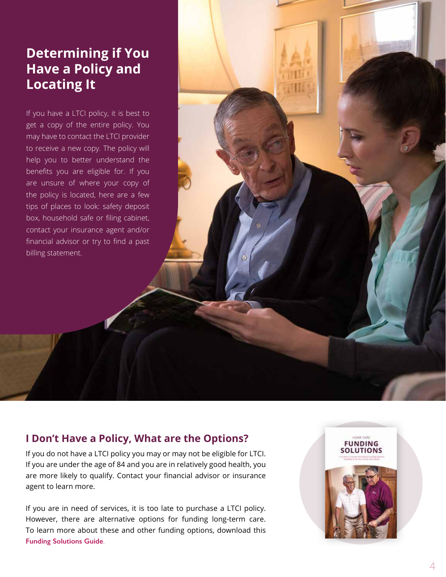## **Determining if You Have a Policy and Locating It**

If you have a LTCI policy, it is best to get a copy of the entire policy. You may have to contact the LTCI provider to receive a new copy. The policy will help you to better understand the benefits you are eligible for. If you are unsure of where your copy of the policy is located, here are a few tips of places to look: safety deposit box, household safe or filing cabinet, contact your insurance agent and/or financial advisor or try to find a past billing statement.

## **I Don't Have a Policy, What are the Options?**

If you do not have a LTCI policy you may or may not be eligible for LTCI. If you are under the age of 84 and you are in relatively good health, you are more likely to qualify. Contact your financial advisor or insurance agent to learn more.

If you are in need of services, it is too late to purchase a LTCI policy. However, there are alternative options for funding long-term care. To learn more about these and other funding options, download this **[Funding Solutions Guide](https://www.homeinstead.com/contentassets/5365a3aea4e6434491db11e7de0035a5/hi_sp_funding_sollutions_guide_insides_digital.pdf)**.

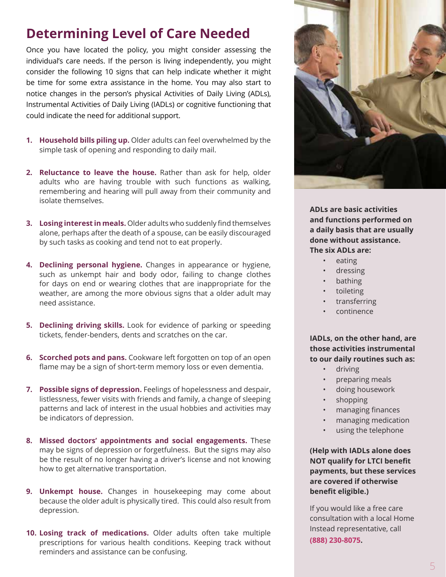## **Determining Level of Care Needed**

Once you have located the policy, you might consider assessing the individual's care needs. If the person is living independently, you might consider the following 10 signs that can help indicate whether it might be time for some extra assistance in the home. You may also start to notice changes in the person's physical Activities of Daily Living (ADLs), Instrumental Activities of Daily Living (IADLs) or cognitive functioning that could indicate the need for additional support.

- **1. Household bills piling up.** Older adults can feel overwhelmed by the simple task of opening and responding to daily mail.
- **2. Reluctance to leave the house.** Rather than ask for help, older adults who are having trouble with such functions as walking, remembering and hearing will pull away from their community and isolate themselves.
- **3. Losing interest in meals.** Older adults who suddenly find themselves alone, perhaps after the death of a spouse, can be easily discouraged by such tasks as cooking and tend not to eat properly.
- **4. Declining personal hygiene.** Changes in appearance or hygiene, such as unkempt hair and body odor, failing to change clothes for days on end or wearing clothes that are inappropriate for the weather, are among the more obvious signs that a older adult may need assistance.
- **5. Declining driving skills.** Look for evidence of parking or speeding tickets, fender-benders, dents and scratches on the car.
- **6. Scorched pots and pans.** Cookware left forgotten on top of an open flame may be a sign of short-term memory loss or even dementia.
- **7. Possible signs of depression.** Feelings of hopelessness and despair, listlessness, fewer visits with friends and family, a change of sleeping patterns and lack of interest in the usual hobbies and activities may be indicators of depression.
- **8. Missed doctors' appointments and social engagements.** These may be signs of depression or forgetfulness. But the signs may also be the result of no longer having a driver's license and not knowing how to get alternative transportation.
- **9. Unkempt house.** Changes in housekeeping may come about because the older adult is physically tired. This could also result from depression.
- **10. Losing track of medications.** Older adults often take multiple prescriptions for various health conditions. Keeping track without reminders and assistance can be confusing.



**ADLs are basic activities and functions performed on a daily basis that are usually done without assistance. The six ADLs are:**

- eating
- dressing
- bathing
- toileting
- transferring
- continence

**IADLs, on the other hand, are those activities instrumental to our daily routines such as:**

- driving
- preparing meals
- doing housework
- shopping
- managing finances
- managing medication
- using the telephone

**(Help with IADLs alone does NOT qualify for LTCI benefit payments, but these services are covered if otherwise benefit eligible.)**

If you would like a free care consultation with a local Home Instead representative, call **(888) 230-8075.**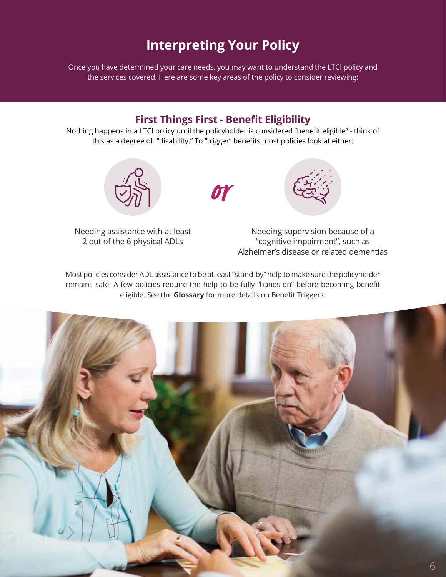## **Interpreting Your Policy**

<span id="page-5-0"></span>Once you have determined your care needs, you may want to understand the LTCI policy and the services covered. Here are some key areas of the policy to consider reviewing:

## **First Things First - Benefit Eligibility**

Nothing happens in a LTCI policy until the policyholder is considered "benefit eligible" - think of this as a degree of "disability." To "trigger" benefits most policies look at either:





Needing assistance with at least 2 out of the 6 physical ADLs

Needing supervision because of a "cognitive impairment", such as Alzheimer's disease or related dementias

Most policies consider ADL assistance to be at least "stand-by" help to make sure the policyholder remains safe. A few policies require the help to be fully "hands-on" before becoming benefit eligible. See the **Glossary** for more details on Benefit Triggers.

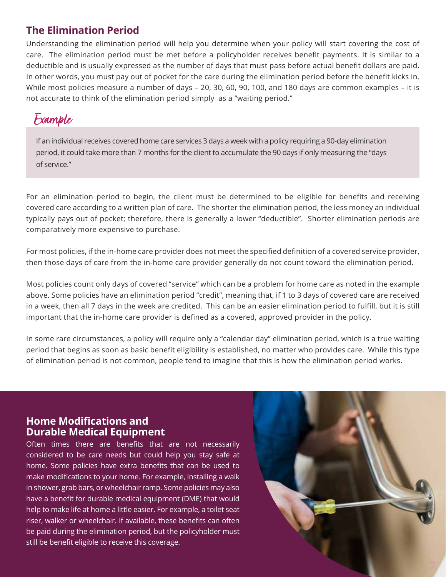## **The Elimination Period**

Understanding the elimination period will help you determine when your policy will start covering the cost of care. The elimination period must be met before a policyholder receives benefit payments. It is similar to a deductible and is usually expressed as the number of days that must pass before actual benefit dollars are paid. In other words, you must pay out of pocket for the care during the elimination period before the benefit kicks in. While most policies measure a number of days – 20, 30, 60, 90, 100, and 180 days are common examples – it is not accurate to think of the elimination period simply as a "waiting period."

## Example

If an individual receives covered home care services 3 days a week with a policy requiring a 90-day elimination period, it could take more than 7 months for the client to accumulate the 90 days if only measuring the "days of service."

For an elimination period to begin, the client must be determined to be eligible for benefits and receiving covered care according to a written plan of care. The shorter the elimination period, the less money an individual typically pays out of pocket; therefore, there is generally a lower "deductible". Shorter elimination periods are comparatively more expensive to purchase.

For most policies, if the in-home care provider does not meet the specified definition of a covered service provider, then those days of care from the in-home care provider generally do not count toward the elimination period.

Most policies count only days of covered "service" which can be a problem for home care as noted in the example above. Some policies have an elimination period "credit", meaning that, if 1 to 3 days of covered care are received in a week, then all 7 days in the week are credited. This can be an easier elimination period to fulfill, but it is still important that the in-home care provider is defined as a covered, approved provider in the policy.

In some rare circumstances, a policy will require only a "calendar day" elimination period, which is a true waiting period that begins as soon as basic benefit eligibility is established, no matter who provides care. While this type of elimination period is not common, people tend to imagine that this is how the elimination period works.

## **Home Modifications and Durable Medical Equipment**

Often times there are benefits that are not necessarily considered to be care needs but could help you stay safe at home. Some policies have extra benefits that can be used to make modifications to your home. For example, installing a walk in shower, grab bars, or wheelchair ramp. Some policies may also have a benefit for durable medical equipment (DME) that would help to make life at home a little easier. For example, a toilet seat riser, walker or wheelchair. If available, these benefits can often be paid during the elimination period, but the policyholder must still be benefit eligible to receive this coverage.

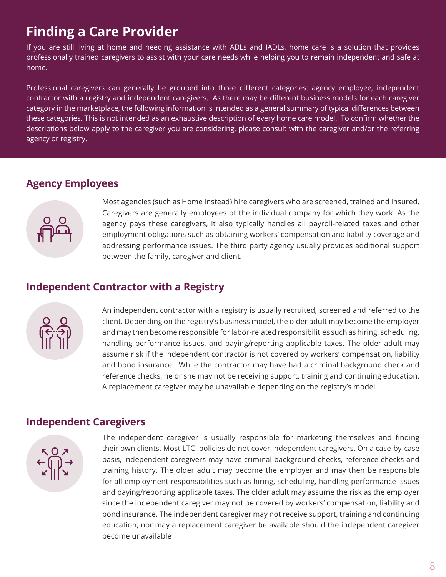## **Finding a Care Provider**

If you are still living at home and needing assistance with ADLs and IADLs, home care is a solution that provides professionally trained caregivers to assist with your care needs while helping you to remain independent and safe at home.

Professional caregivers can generally be grouped into three different categories: agency employee, independent contractor with a registry and independent caregivers. As there may be different business models for each caregiver category in the marketplace, the following information is intended as a general summary of typical differences between these categories. This is not intended as an exhaustive description of every home care model. To confirm whether the descriptions below apply to the caregiver you are considering, please consult with the caregiver and/or the referring agency or registry.

## **Agency Employees**



Most agencies (such as Home Instead) hire caregivers who are screened, trained and insured. Caregivers are generally employees of the individual company for which they work. As the agency pays these caregivers, it also typically handles all payroll-related taxes and other employment obligations such as obtaining workers' compensation and liability coverage and addressing performance issues. The third party agency usually provides additional support between the family, caregiver and client.

## **Independent Contractor with a Registry**



An independent contractor with a registry is usually recruited, screened and referred to the client. Depending on the registry's business model, the older adult may become the employer and may then become responsible for labor-related responsibilities such as hiring, scheduling, handling performance issues, and paying/reporting applicable taxes. The older adult may assume risk if the independent contractor is not covered by workers' compensation, liability and bond insurance. While the contractor may have had a criminal background check and reference checks, he or she may not be receiving support, training and continuing education. A replacement caregiver may be unavailable depending on the registry's model.

## **Independent Caregivers**



The independent caregiver is usually responsible for marketing themselves and finding their own clients. Most LTCI policies do not cover independent caregivers. On a case-by-case basis, independent caregivers may have criminal background checks, reference checks and training history. The older adult may become the employer and may then be responsible for all employment responsibilities such as hiring, scheduling, handling performance issues and paying/reporting applicable taxes. The older adult may assume the risk as the employer since the independent caregiver may not be covered by workers' compensation, liability and bond insurance. The independent caregiver may not receive support, training and continuing education, nor may a replacement caregiver be available should the independent caregiver become unavailable.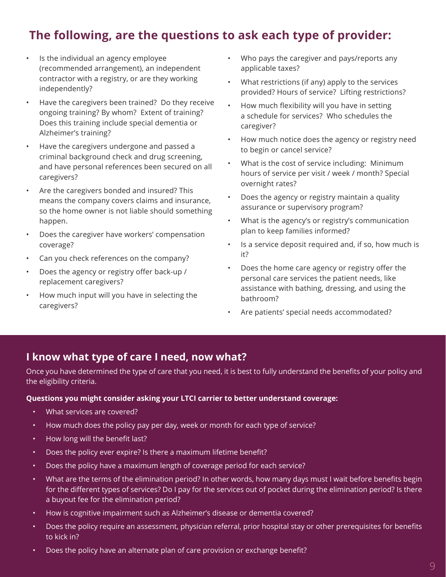## **The following, are the questions to ask each type of provider:**

- Is the individual an agency employee (recommended arrangement), an independent contractor with a registry, or are they working independently?
- Have the caregivers been trained? Do they receive ongoing training? By whom? Extent of training? Does this training include special dementia or Alzheimer's training?
- Have the caregivers undergone and passed a criminal background check and drug screening, and have personal references been secured on all caregivers?
- Are the caregivers bonded and insured? This means the company covers claims and insurance, so the home owner is not liable should something happen.
- Does the caregiver have workers' compensation coverage?
- Can you check references on the company?
- Does the agency or registry offer back-up / replacement caregivers?
- How much input will you have in selecting the caregivers?
- Who pays the caregiver and pays/reports any applicable taxes?
- What restrictions (if any) apply to the services provided? Hours of service? Lifting restrictions?
- How much flexibility will you have in setting a schedule for services? Who schedules the caregiver?
- How much notice does the agency or registry need to begin or cancel service?
- What is the cost of service including: Minimum hours of service per visit / week / month? Special overnight rates?
- Does the agency or registry maintain a quality assurance or supervisory program?
- What is the agency's or registry's communication plan to keep families informed?
- Is a service deposit required and, if so, how much is it?
- Does the home care agency or registry offer the personal care services the patient needs, like assistance with bathing, dressing, and using the bathroom?
- Are patients' special needs accommodated?

## **I know what type of care I need, now what?**

Once you have determined the type of care that you need, it is best to fully understand the benefits of your policy and the eligibility criteria.

### **Questions you might consider asking your LTCI carrier to better understand coverage:**

- What services are covered?
- How much does the policy pay per day, week or month for each type of service?
- How long will the benefit last?
- Does the policy ever expire? Is there a maximum lifetime benefit?
- Does the policy have a maximum length of coverage period for each service?
- What are the terms of the elimination period? In other words, how many days must I wait before benefits begin for the different types of services? Do I pay for the services out of pocket during the elimination period? Is there a buyout fee for the elimination period?
- How is cognitive impairment such as Alzheimer's disease or dementia covered?
- Does the policy require an assessment, physician referral, prior hospital stay or other prerequisites for benefits to kick in?
- Does the policy have an alternate plan of care provision or exchange benefit?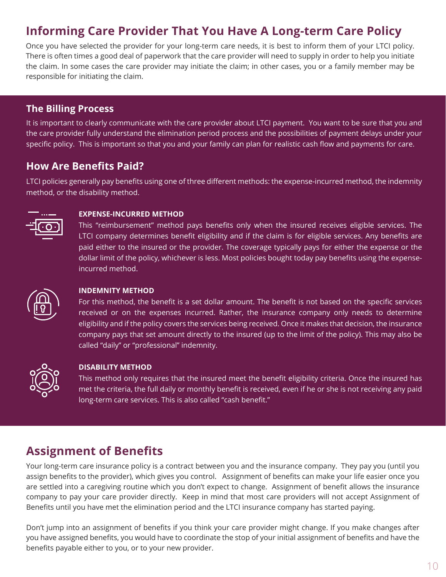## **Informing Care Provider That You Have A Long-term Care Policy**

Once you have selected the provider for your long-term care needs, it is best to inform them of your LTCI policy. There is often times a good deal of paperwork that the care provider will need to supply in order to help you initiate the claim. In some cases the care provider may initiate the claim; in other cases, you or a family member may be responsible for initiating the claim.

## **The Billing Process**

It is important to clearly communicate with the care provider about LTCI payment. You want to be sure that you and the care provider fully understand the elimination period process and the possibilities of payment delays under your specific policy. This is important so that you and your family can plan for realistic cash flow and payments for care.

## **How Are Benefits Paid?**

LTCI policies generally pay benefits using one of three different methods: the expense-incurred method, the indemnity method, or the disability method.



### **EXPENSE-INCURRED METHOD**

This "reimbursement" method pays benefits only when the insured receives eligible services. The LTCI company determines benefit eligibility and if the claim is for eligible services. Any benefits are paid either to the insured or the provider. The coverage typically pays for either the expense or the dollar limit of the policy, whichever is less. Most policies bought today pay benefits using the expenseincurred method.



### **INDEMNITY METHOD**

For this method, the benefit is a set dollar amount. The benefit is not based on the specific services received or on the expenses incurred. Rather, the insurance company only needs to determine eligibility and if the policy covers the services being received. Once it makes that decision, the insurance company pays that set amount directly to the insured (up to the limit of the policy). This may also be called "daily" or "professional" indemnity.



### **DISABILITY METHOD**

This method only requires that the insured meet the benefit eligibility criteria. Once the insured has met the criteria, the full daily or monthly benefit is received, even if he or she is not receiving any paid long-term care services. This is also called "cash benefit."

## **Assignment of Benefits**

Your long-term care insurance policy is a contract between you and the insurance company. They pay you (until you assign benefits to the provider), which gives you control. Assignment of benefits can make your life easier once you are settled into a caregiving routine which you don't expect to change. Assignment of benefit allows the insurance company to pay your care provider directly. Keep in mind that most care providers will not accept Assignment of Benefits until you have met the elimination period and the LTCI insurance company has started paying.

Don't jump into an assignment of benefits if you think your care provider might change. If you make changes after you have assigned benefits, you would have to coordinate the stop of your initial assignment of benefits and have the benefits payable either to you, or to your new provider.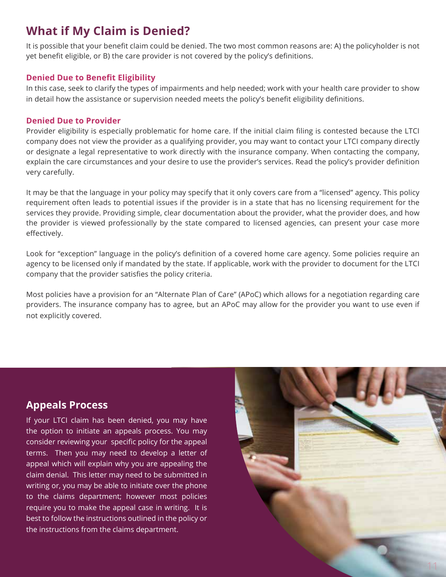## **What if My Claim is Denied?**

It is possible that your benefit claim could be denied. The two most common reasons are: A) the policyholder is not yet benefit eligible, or B) the care provider is not covered by the policy's definitions.

### **Denied Due to Benefit Eligibility**

In this case, seek to clarify the types of impairments and help needed; work with your health care provider to show in detail how the assistance or supervision needed meets the policy's benefit eligibility definitions.

### **Denied Due to Provider**

Provider eligibility is especially problematic for home care. If the initial claim filing is contested because the LTCI company does not view the provider as a qualifying provider, you may want to contact your LTCI company directly or designate a legal representative to work directly with the insurance company. When contacting the company, explain the care circumstances and your desire to use the provider's services. Read the policy's provider definition very carefully.

It may be that the language in your policy may specify that it only covers care from a "licensed" agency. This policy requirement often leads to potential issues if the provider is in a state that has no licensing requirement for the services they provide. Providing simple, clear documentation about the provider, what the provider does, and how the provider is viewed professionally by the state compared to licensed agencies, can present your case more effectively.

Look for "exception" language in the policy's definition of a covered home care agency. Some policies require an agency to be licensed only if mandated by the state. If applicable, work with the provider to document for the LTCI company that the provider satisfies the policy criteria.

Most policies have a provision for an "Alternate Plan of Care" (APoC) which allows for a negotiation regarding care providers. The insurance company has to agree, but an APoC may allow for the provider you want to use even if not explicitly covered.

## **Appeals Process**

If your LTCI claim has been denied, you may have the option to initiate an appeals process. You may consider reviewing your specific policy for the appeal terms. Then you may need to develop a letter of appeal which will explain why you are appealing the claim denial. This letter may need to be submitted in writing or, you may be able to initiate over the phone to the claims department; however most policies require you to make the appeal case in writing. It is best to follow the instructions outlined in the policy or the instructions from the claims department.

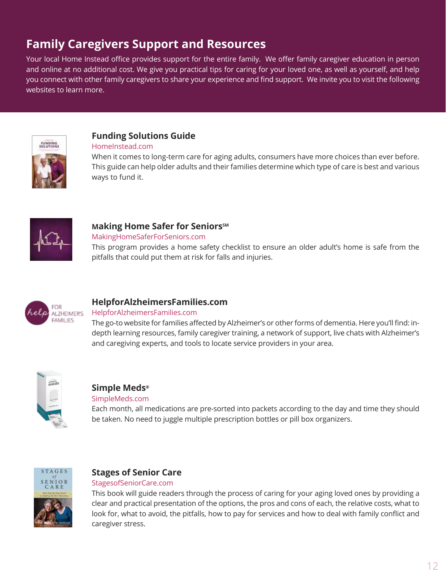## **Family Caregivers Support and Resources**

Your local Home Instead office provides support for the entire family. We offer family caregiver education in person and online at no additional cost. We give you practical tips for caring for your loved one, as well as yourself, and help you connect with other family caregivers to share your experience and find support. We invite you to visit the following websites to learn more.



## **Funding Solutions Guide**

#### [HomeInstead.com](https://www.homeinstead.com/contentassets/5365a3aea4e6434491db11e7de0035a5/hi_sp_funding_sollutions_guide_insides_digital.pdf)

When it comes to long-term care for aging adults, consumers have more choices than ever before. This guide can help older adults and their families determine which type of care is best and various ways to fund it.



### **Making Home Safer for Seniors**SM

[MakingHomeSaferForSeniors.com](http://MakingHomeSaferForSeniors.com)

This program provides a home safety checklist to ensure an older adult's home is safe from the pitfalls that could put them at risk for falls and injuries.



## **HelpforAlzheimersFamilies.com**

### [HelpforAlzheimersFamilies.com](http://HelpforAlzheimersFamilies.com)

The go-to website for families affected by Alzheimer's or other forms of dementia. Here you'll find: indepth learning resources, family caregiver training, a network of support, live chats with Alzheimer's and caregiving experts, and tools to locate service providers in your area.



### **Simple Meds®**

### [SimpleMeds.com](http://SimpleMeds.com)

Each month, all medications are pre-sorted into packets according to the day and time they should be taken. No need to juggle multiple prescription bottles or pill box organizers.



## **Stages of Senior Care**

### [StagesofSeniorCare.com](http://www.StagesofSeniorCare.com
)

This book will guide readers through the process of caring for your aging loved ones by providing a clear and practical presentation of the options, the pros and cons of each, the relative costs, what to look for, what to avoid, the pitfalls, how to pay for services and how to deal with family conflict and caregiver stress.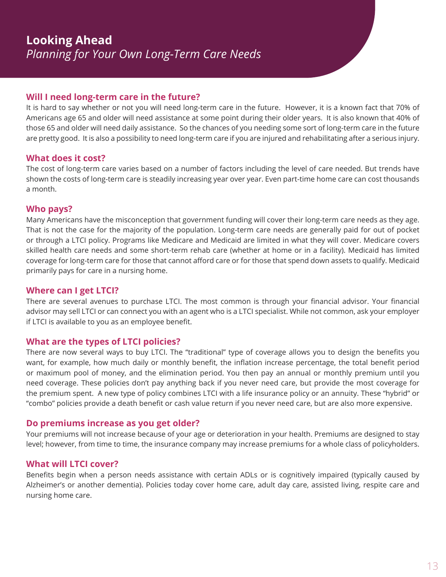### **Will I need long-term care in the future?**

It is hard to say whether or not you will need long-term care in the future. However, it is a known fact that 70% of Americans age 65 and older will need assistance at some point during their older years. It is also known that 40% of those 65 and older will need daily assistance. So the chances of you needing some sort of long-term care in the future are pretty good. It is also a possibility to need long-term care if you are injured and rehabilitating after a serious injury.

### **What does it cost?**

The cost of long-term care varies based on a number of factors including the level of care needed. But trends have shown the costs of long-term care is steadily increasing year over year. Even part-time home care can cost thousands a month.

### **Who pays?**

Many Americans have the misconception that government funding will cover their long-term care needs as they age. That is not the case for the majority of the population. Long-term care needs are generally paid for out of pocket or through a LTCI policy. Programs like Medicare and Medicaid are limited in what they will cover. Medicare covers skilled health care needs and some short-term rehab care (whether at home or in a facility). Medicaid has limited coverage for long-term care for those that cannot afford care or for those that spend down assets to qualify. Medicaid primarily pays for care in a nursing home.

## **Where can I get LTCI?**

There are several avenues to purchase LTCI. The most common is through your financial advisor. Your financial advisor may sell LTCI or can connect you with an agent who is a LTCI specialist. While not common, ask your employer if LTCI is available to you as an employee benefit.

### **What are the types of LTCI policies?**

There are now several ways to buy LTCI. The "traditional" type of coverage allows you to design the benefits you want, for example, how much daily or monthly benefit, the inflation increase percentage, the total benefit period or maximum pool of money, and the elimination period. You then pay an annual or monthly premium until you need coverage. These policies don't pay anything back if you never need care, but provide the most coverage for the premium spent. A new type of policy combines LTCI with a life insurance policy or an annuity. These "hybrid" or "combo" policies provide a death benefit or cash value return if you never need care, but are also more expensive.

### **Do premiums increase as you get older?**

Your premiums will not increase because of your age or deterioration in your health. Premiums are designed to stay level; however, from time to time, the insurance company may increase premiums for a whole class of policyholders.

### **What will LTCI cover?**

Benefits begin when a person needs assistance with certain ADLs or is cognitively impaired (typically caused by Alzheimer's or another dementia). Policies today cover home care, adult day care, assisted living, respite care and nursing home care.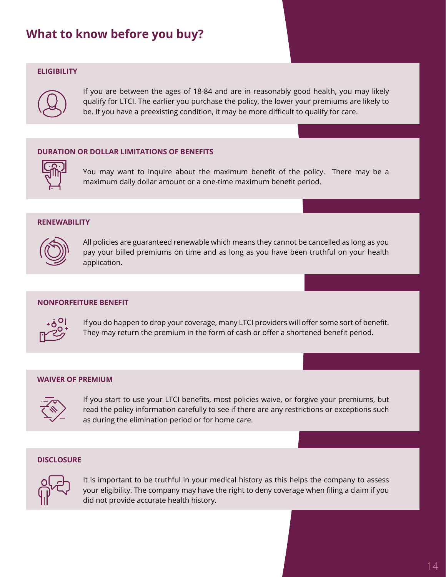## **What to know before you buy?**

#### **ELIGIBILITY**



If you are between the ages of 18-84 and are in reasonably good health, you may likely qualify for LTCI. The earlier you purchase the policy, the lower your premiums are likely to be. If you have a preexisting condition, it may be more difficult to qualify for care.

### **DURATION OR DOLLAR LIMITATIONS OF BENEFITS**



You may want to inquire about the maximum benefit of the policy. There may be a maximum daily dollar amount or a one-time maximum benefit period.

#### **RENEWABILITY**



All policies are guaranteed renewable which means they cannot be cancelled as long as you pay your billed premiums on time and as long as you have been truthful on your health application.

#### **NONFORFEITURE BENEFIT**



If you do happen to drop your coverage, many LTCI providers will offer some sort of benefit. They may return the premium in the form of cash or offer a shortened benefit period.

#### **WAIVER OF PREMIUM**



If you start to use your LTCI benefits, most policies waive, or forgive your premiums, but read the policy information carefully to see if there are any restrictions or exceptions such as during the elimination period or for home care.

#### **DISCLOSURE**



It is important to be truthful in your medical history as this helps the company to assess your eligibility. The company may have the right to deny coverage when filing a claim if you did not provide accurate health history.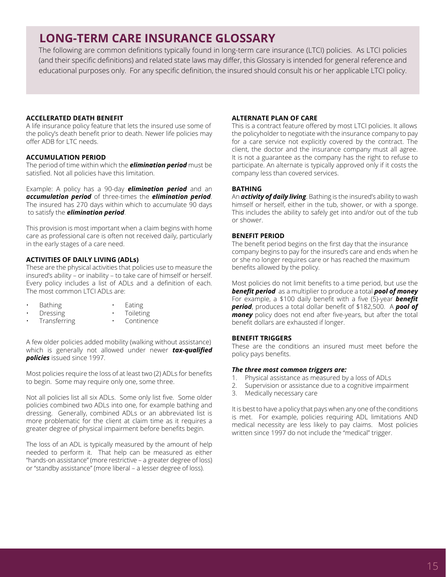## **LONG-TERM CARE INSURANCE GLOSSARY**

The following are common definitions typically found in long-term care insurance (LTCI) policies. As LTCI policies (and their specific definitions) and related state laws may differ, this Glossary is intended for general reference and educational purposes only. For any specific definition, the insured should consult his or her applicable LTCI policy.

#### **ACCELERATED DEATH BENEFIT**

A life insurance policy feature that lets the insured use some of the policy's death benefit prior to death. Newer life policies may offer ADB for LTC needs.

#### **ACCUMULATION PERIOD**

The period of time within which the *elimination period* must be satisfied. Not all policies have this limitation.

Example: A policy has a 90-day *elimination period* and an *accumulation period* of three-times the *elimination period*. The insured has 270 days within which to accumulate 90 days to satisfy the *elimination period*.

This provision is most important when a claim begins with home care as professional care is often not received daily, particularly in the early stages of a care need.

#### **ACTIVITIES OF DAILY LIVING (ADLs)**

These are the physical activities that policies use to measure the insured's ability – or inability – to take care of himself or herself. Every policy includes a list of ADLs and a definition of each. The most common LTCI ADLs are:

- Bathing
- Eating
- Dressing
- **Toileting**
- Transferring **Continence**

A few older policies added mobility (walking without assistance) which is generally not allowed under newer *tax-qualified policies* issued since 1997.

Most policies require the loss of at least two (2) ADLs for benefits to begin. Some may require only one, some three.

Not all policies list all six ADLs. Some only list five. Some older policies combined two ADLs into one, for example bathing and dressing. Generally, combined ADLs or an abbreviated list is more problematic for the client at claim time as it requires a greater degree of physical impairment before benefits begin.

The loss of an ADL is typically measured by the amount of help needed to perform it. That help can be measured as either "hands-on assistance" (more restrictive – a greater degree of loss) or "standby assistance" (more liberal – a lesser degree of loss).

#### **ALTERNATE PLAN OF CARE**

This is a contract feature offered by most LTCI policies. It allows the policyholder to negotiate with the insurance company to pay for a care service not explicitly covered by the contract. The client, the doctor and the insurance company must all agree. It is not a guarantee as the company has the right to refuse to participate. An alternate is typically approved only if it costs the company less than covered services.

#### **BATHING**

An *activity of daily living*. Bathing is the insured's ability to wash himself or herself, either in the tub, shower, or with a sponge. This includes the ability to safely get into and/or out of the tub or shower.

#### **BENEFIT PERIOD**

The benefit period begins on the first day that the insurance company begins to pay for the insured's care and ends when he or she no longer requires care or has reached the maximum benefits allowed by the policy.

Most policies do not limit benefits to a time period, but use the *benefit period* as a multiplier to produce a total *pool of money* For example, a \$100 daily benefit with a five (5)-year *benefit period*, produces a total dollar benefit of \$182,500. A *pool of money* policy does not end after five-years, but after the total benefit dollars are exhausted if longer.

#### **BENEFIT TRIGGERS**

These are the conditions an insured must meet before the policy pays benefits.

#### *The three most common triggers are:*

- 
- 1. Physical assistance as measured by a loss of ADLs<br>2. Supervision or assistance due to a cognitive impair Supervision or assistance due to a cognitive impairment
- 3. Medically necessary care

It is best to have a policy that pays when any one of the conditions is met. For example, policies requiring ADL limitations AND medical necessity are less likely to pay claims. Most policies written since 1997 do not include the "medical" trigger.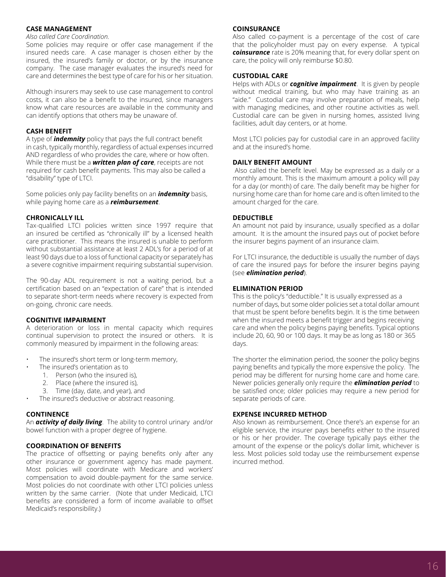#### <span id="page-15-0"></span>**CASE MANAGEMENT**

#### *Also called Care Coordination.*

Some policies may require or offer case management if the insured needs care. A case manager is chosen either by the insured, the insured's family or doctor, or by the insurance company. The case manager evaluates the insured's need for care and determines the best type of care for his or her situation.

Although insurers may seek to use case management to control costs, it can also be a benefit to the insured, since managers know what care resources are available in the community and can identify options that others may be unaware of.

#### **CASH BENEFIT**

A type of *indemnity* policy that pays the full contract benefit in cash, typically monthly, regardless of actual expenses incurred AND regardless of who provides the care, where or how often. While there must be a *written plan of care*, receipts are not required for cash benefit payments. This may also be called a "disability" type of LTCI.

Some policies only pay facility benefits on an *indemnity* basis, while paying home care as a *reimbursement*.

#### **CHRONICALLY ILL**

Tax-qualified LTCI policies written since 1997 require that an insured be certified as "chronically ill" by a licensed health care practitioner. This means the insured is unable to perform without substantial assistance at least 2 ADL's for a period of at least 90 days due to a loss of functional capacity or separately has a severe cognitive impairment requiring substantial supervision.

The 90-day ADL requirement is not a waiting period, but a certification based on an "expectation of care" that is intended to separate short-term needs where recovery is expected from on-going, chronic care needs.

#### **COGNITIVE IMPAIRMENT**

A deterioration or loss in mental capacity which requires continual supervision to protect the insured or others. It is commonly measured by impairment in the following areas:

- The insured's short term or long-term memory,
- The insured's orientation as to
	- 1. Person (who the insured is),
	- 2. Place (where the insured is),
	- 3. Time (day, date, and year), and
- The insured's deductive or abstract reasoning.

#### **CONTINENCE**

An *activity of daily living*. The ability to control urinary and/or bowel function with a proper degree of hygiene.

#### **COORDINATION OF BENEFITS**

The practice of offsetting or paying benefits only after any other insurance or government agency has made payment. Most policies will coordinate with Medicare and workers' compensation to avoid double-payment for the same service. Most policies do not coordinate with other LTCI policies unless written by the same carrier. (Note that under Medicaid, LTCI benefits are considered a form of income available to offset Medicaid's responsibility.)

#### **COINSURANCE**

Also called co-payment is a percentage of the cost of care that the policyholder must pay on every expense. A typical *coinsurance* rate is 20% meaning that, for every dollar spent on care, the policy will only reimburse \$0.80.

#### **CUSTODIAL CARE**

Helps with ADLs or *cognitive impairment*. It is given by people without medical training, but who may have training as an "aide." Custodial care may involve preparation of meals, help with managing medicines, and other routine activities as well. Custodial care can be given in nursing homes, assisted living facilities, adult day centers, or at home.

Most LTCI policies pay for custodial care in an approved facility and at the insured's home.

#### **DAILY BENEFIT AMOUNT**

 Also called the benefit level. May be expressed as a daily or a monthly amount. This is the maximum amount a policy will pay for a day (or month) of care. The daily benefit may be higher for nursing home care than for home care and is often limited to the amount charged for the care.

#### **DEDUCTIBLE**

An amount not paid by insurance, usually specified as a dollar amount. It is the amount the insured pays out of pocket before the insurer begins payment of an insurance claim.

For LTCI insurance, the deductible is usually the number of days of care the insured pays for before the insurer begins paying (see *elimination period*).

#### **ELIMINATION PERIOD**

This is the policy's "deductible." It is usually expressed as a number of days, but some older policies set a total dollar amount that must be spent before benefits begin. It is the time between when the insured meets a benefit trigger and begins receiving care and when the policy begins paying benefits. Typical options include 20, 60, 90 or 100 days. It may be as long as 180 or 365 days.

The shorter the elimination period, the sooner the policy begins paying benefits and typically the more expensive the policy. The period may be different for nursing home care and home care. Newer policies generally only require the *elimination period* to be satisfied once; older policies may require a new period for separate periods of care.

#### **EXPENSE INCURRED METHOD**

Also known as reimbursement. Once there's an expense for an eligible service, the insurer pays benefits either to the insured or his or her provider. The coverage typically pays either the amount of the expense or the policy's dollar limit, whichever is less. Most policies sold today use the reimbursement expense incurred method.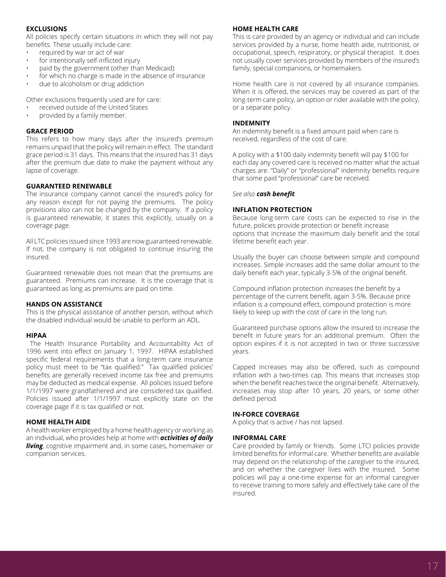#### **EXCLUSIONS**

All policies specify certain situations in which they will not pay benefits. These usually include care:

- required by war or act of war
- for intentionally self-inflicted injury
- paid by the government (other than Medicaid)
- for which no charge is made in the absence of insurance
- due to alcoholism or drug addiction

Other exclusions frequently used are for care:

- received outside of the United States
- provided by a family member.

#### **GRACE PERIOD**

This refers to how many days after the insured's premium remains unpaid that the policy will remain in effect. The standard grace period is 31 days. This means that the insured has 31 days after the premium due date to make the payment without any lapse of coverage.

#### **GUARANTEED RENEWABLE**

The insurance company cannot cancel the insured's policy for any reason except for not paying the premiums. The policy provisions also can not be changed by the company. If a policy is guaranteed renewable, it states this explicitly, usually on a coverage page.

All LTC policies issued since 1993 are now guaranteed renewable. If not, the company is not obligated to continue insuring the insured.

Guaranteed renewable does not mean that the premiums are guaranteed. Premiums can increase. It is the coverage that is guaranteed as long as premiums are paid on time.

#### **HANDS ON ASSISTANCE**

This is the physical assistance of another person, without which the disabled individual would be unable to perform an ADL.

#### **HIPAA**

 The Health Insurance Portability and Accountability Act of 1996 went into effect on January 1, 1997. HIPAA established specific federal requirements that a long-term care insurance policy must meet to be "tax qualified." Tax qualified policies' benefits are generally received income tax free and premiums may be deducted as medical expense. All policies issued before 1/1/1997 were grandfathered and are considered tax qualified. Policies issued after 1/1/1997 must explicitly state on the coverage page if it is tax qualified or not.

#### **HOME HEALTH AIDE**

A health worker employed by a home health agency or working as an individual, who provides help at home with *activities of daily living*, cognitive impairment and, in some cases, homemaker or companion services.

#### **HOME HEALTH CARE**

This is care provided by an agency or individual and can include services provided by a nurse, home health aide, nutritionist, or occupational, speech, respiratory, or physical therapist. It does not usually cover services provided by members of the insured's family, special companions, or homemakers.

Home health care is not covered by all insurance companies. When it is offered, the services may be covered as part of the long-term care policy, an option or rider available with the policy, or a separate policy.

#### **INDEMNITY**

An indemnity benefit is a fixed amount paid when care is received, regardless of the cost of care.

A policy with a \$100 daily indemnity benefit will pay \$100 for each day any covered care is received no matter what the actual charges are. "Daily" or "professional" indemnity benefits require that some paid "professional" care be received.

#### *See also cash benefit.*

#### **INFLATION PROTECTION**

Because long-term care costs can be expected to rise in the future, policies provide protection or benefit increase options that increase the maximum daily benefit and the total lifetime benefit each year.

Usually the buyer can choose between simple and compound increases. Simple increases add the same dollar amount to the daily benefit each year, typically 3-5% of the original benefit.

Compound inflation protection increases the benefit by a percentage of the current benefit, again 3-5%. Because price inflation is a compound effect, compound protection is more likely to keep up with the cost of care in the long run.

Guaranteed purchase options allow the insured to increase the benefit in future years for an additional premium. Often the option expires if it is not accepted in two or three successive years.

Capped increases may also be offered, such as compound inflation with a two-times cap. This means that increases stop when the benefit reaches twice the original benefit. Alternatively, increases may stop after 10 years, 20 years, or some other defined period.

#### **IN-FORCE COVERAGE**

A policy that is active / has not lapsed.

#### **INFORMAL CARE**

Care provided by family or friends. Some LTCI policies provide limited benefits for informal care. Whether benefits are available may depend on the relationship of the caregiver to the insured, and on whether the caregiver lives with the insured. Some policies will pay a one-time expense for an informal caregiver to receive training to more safely and effectively take care of the insured.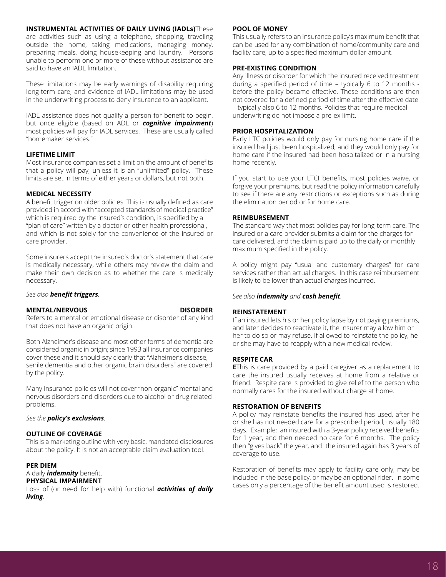#### **INSTRUMENTAL ACTIVITIES OF DAILY LIVING (IADLs)**These

are activities such as using a telephone, shopping, traveling outside the home, taking medications, managing money, preparing meals, doing housekeeping and laundry. Persons unable to perform one or more of these without assistance are said to have an IADL limitation.

These limitations may be early warnings of disability requiring long-term care, and evidence of IADL limitations may be used in the underwriting process to deny insurance to an applicant.

IADL assistance does not qualify a person for benefit to begin, but once eligible (based on ADL or *cognitive impairment*) most policies will pay for IADL services. These are usually called "homemaker services."

#### **LIFETIME LIMIT**

Most insurance companies set a limit on the amount of benefits that a policy will pay, unless it is an "unlimited" policy. These limits are set in terms of either years or dollars, but not both.

#### **MEDICAL NECESSITY**

A benefit trigger on older policies. This is usually defined as care provided in accord with "accepted standards of medical practice" which is required by the insured's condition, is specified by a "plan of care" written by a doctor or other health professional, and which is not solely for the convenience of the insured or care provider.

Some insurers accept the insured's doctor's statement that care is medically necessary, while others may review the claim and make their own decision as to whether the care is medically necessary.

#### *See also benefit triggers.*

#### **MENTAL/NERVOUS DISORDER**

Refers to a mental or emotional disease or disorder of any kind that does not have an organic origin.

Both Alzheimer's disease and most other forms of dementia are considered organic in origin; since 1993 all insurance companies cover these and it should say clearly that "Alzheimer's disease, senile dementia and other organic brain disorders" are covered by the policy.

Many insurance policies will not cover "non-organic" mental and nervous disorders and disorders due to alcohol or drug related problems.

#### *See the policy's exclusions.*

#### **OUTLINE OF COVERAGE**

This is a marketing outline with very basic, mandated disclosures about the policy. It is not an acceptable claim evaluation tool.

#### **PER DIEM**

### A daily *indemnity* benefit.

**PHYSICAL IMPAIRMENT** Loss of (or need for help with) functional *activities of daily* 

*living*.

#### **POOL OF MONEY**

This usually refers to an insurance policy's maximum benefit that can be used for any combination of home/community care and facility care, up to a specified maximum dollar amount.

#### **PRE-EXISTING CONDITION**

Any illness or disorder for which the insured received treatment during a specified period of time – typically 6 to 12 months before the policy became effective. These conditions are then not covered for a defined period of time after the effective date – typically also 6 to 12 months. Policies that require medical underwriting do not impose a pre-ex limit.

#### **PRIOR HOSPITALIZATION**

Early LTC policies would only pay for nursing home care if the insured had just been hospitalized, and they would only pay for home care if the insured had been hospitalized or in a nursing home recently.

If you start to use your LTCI benefits, most policies waive, or forgive your premiums, but read the policy information carefully to see if there are any restrictions or exceptions such as during the elimination period or for home care.

#### **REIMBURSEMENT**

The standard way that most policies pay for long-term care. The insured or a care provider submits a claim for the charges for care delivered, and the claim is paid up to the daily or monthly maximum specified in the policy.

A policy might pay "usual and customary charges" for care services rather than actual charges. In this case reimbursement is likely to be lower than actual charges incurred.

#### *See also indemnity and cash benefit.*

#### **REINSTATEMENT**

If an insured lets his or her policy lapse by not paying premiums, and later decides to reactivate it, the insurer may allow him or her to do so or may refuse. If allowed to reinstate the policy, he or she may have to reapply with a new medical review.

#### **RESPITE CAR**

**E**This is care provided by a paid caregiver as a replacement to care the insured usually receives at home from a relative or friend. Respite care is provided to give relief to the person who normally cares for the insured without charge at home.

#### **RESTORATION OF BENEFITS**

A policy may reinstate benefits the insured has used, after he or she has not needed care for a prescribed period, usually 180 days. Example: an insured with a 3-year policy received benefits for 1 year, and then needed no care for 6 months. The policy then "gives back" the year, and the insured again has 3 years of coverage to use.

Restoration of benefits may apply to facility care only, may be included in the base policy, or may be an optional rider. In some cases only a percentage of the benefit amount used is restored.